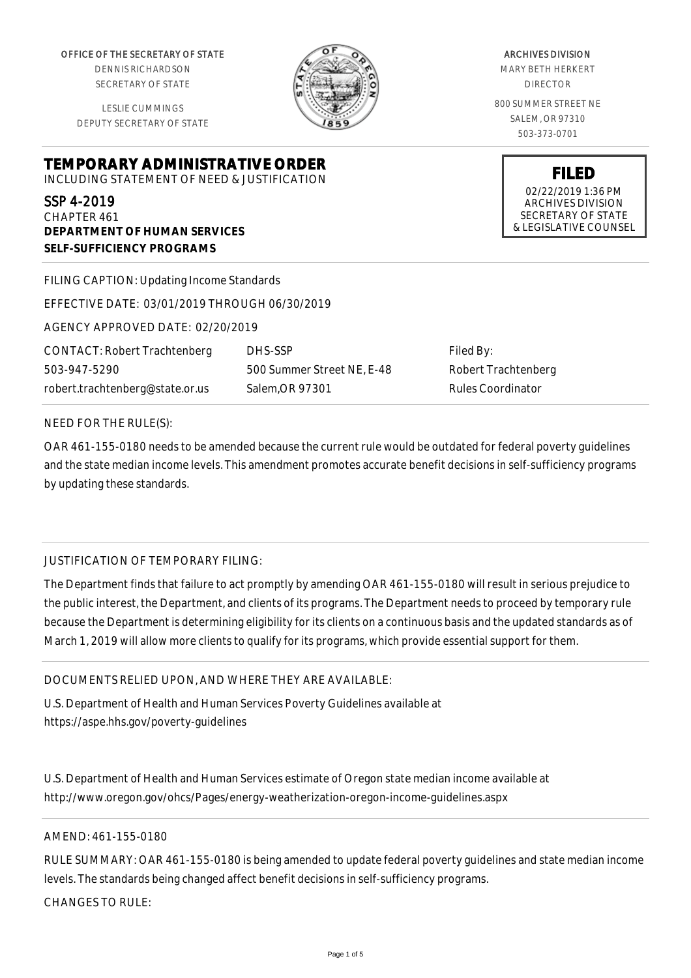OFFICE OF THE SECRETARY OF STATE

DENNIS RICHARDSON SECRETARY OF STATE

LESLIE CUMMINGS DEPUTY SECRETARY OF STATE

**TEMPORARY ADMINISTRATIVE ORDER** INCLUDING STATEMENT OF NEED & JUSTIFICATION

#### SSP 4-2019

CHAPTER 461 **DEPARTMENT OF HUMAN SERVICES SELF-SUFFICIENCY PROGRAMS**

FILING CAPTION: Updating Income Standards

EFFECTIVE DATE: 03/01/2019 THROUGH 06/30/2019

AGENCY APPROVED DATE: 02/20/2019

CONTACT: Robert Trachtenberg 503-947-5290 robert.trachtenberg@state.or.us

DHS-SSP 500 Summer Street NE, E-48 Salem,OR 97301

Filed By: Robert Trachtenberg Rules Coordinator

#### NEED FOR THE RULE(S):

OAR 461-155-0180 needs to be amended because the current rule would be outdated for federal poverty guidelines and the state median income levels. This amendment promotes accurate benefit decisions in self-sufficiency programs by updating these standards.

# JUSTIFICATION OF TEMPORARY FILING:

The Department finds that failure to act promptly by amending OAR 461-155-0180 will result in serious prejudice to the public interest, the Department, and clients of its programs. The Department needs to proceed by temporary rule because the Department is determining eligibility for its clients on a continuous basis and the updated standards as of March 1, 2019 will allow more clients to qualify for its programs, which provide essential support for them.

DOCUMENTS RELIED UPON, AND WHERE THEY ARE AVAILABLE:

U.S. Department of Health and Human Services Poverty Guidelines available at https://aspe.hhs.gov/poverty-guidelines

U.S. Department of Health and Human Services estimate of Oregon state median income available at http://www.oregon.gov/ohcs/Pages/energy-weatherization-oregon-income-guidelines.aspx

# AMEND: 461-155-0180

RULE SUMMARY: OAR 461-155-0180 is being amended to update federal poverty guidelines and state median income levels. The standards being changed affect benefit decisions in self-sufficiency programs.

CHANGES TO RULE:



MARY BETH HERKERT DIRECTOR 800 SUMMER STREET NE SALEM, OR 97310

> **FILED** 02/22/2019 1:36 PM ARCHIVES DIVISION SECRETARY OF STATE & LEGISLATIVE COUNSEL

# ARCHIVES DIVISION

503-373-0701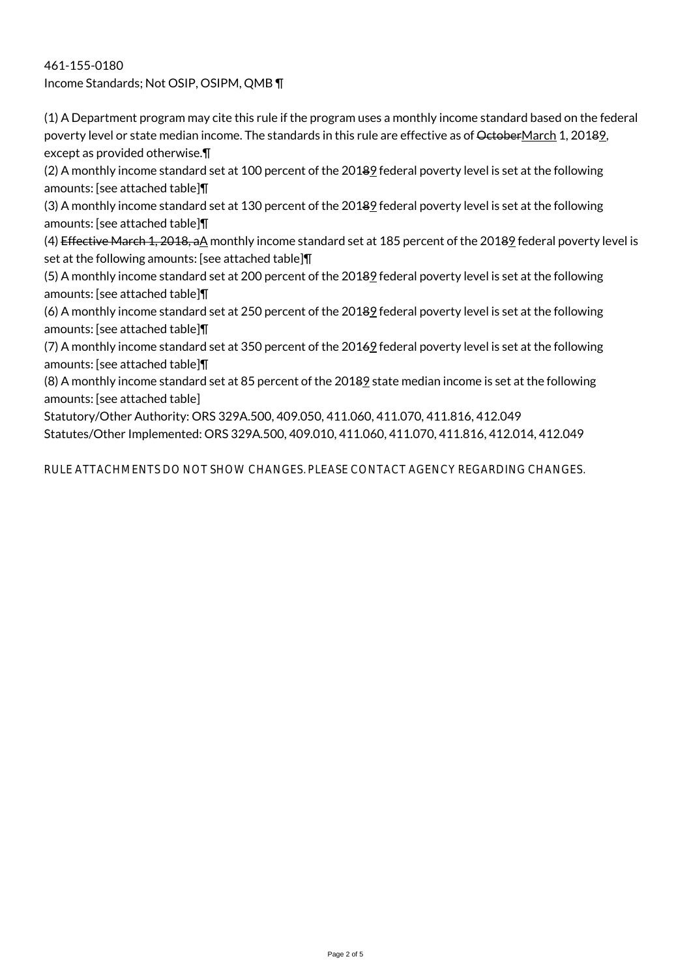461-155-0180 Income Standards; Not OSIP, OSIPM, QMB ¶

(1) A Department program may cite this rule if the program uses a monthly income standard based on the federal poverty level or state median income. The standards in this rule are effective as of OctoberMarch 1, 20189, except as provided otherwise.¶

(2) A monthly income standard set at 100 percent of the 20189 federal poverty level is set at the following amounts: [see attached table]¶

(3) A monthly income standard set at 130 percent of the 20189 federal poverty level is set at the following amounts: [see attached table]¶

(4) Effective March 1, 2018, aA monthly income standard set at 185 percent of the 20182 federal poverty level is set at the following amounts: [see attached table]¶

(5) A monthly income standard set at 200 percent of the 20189 federal poverty level is set at the following amounts: [see attached table]¶

(6) A monthly income standard set at 250 percent of the 20189 federal poverty level is set at the following amounts: [see attached table]¶

(7) A monthly income standard set at 350 percent of the 20169 federal poverty level is set at the following amounts: [see attached table]¶

(8) A monthly income standard set at 85 percent of the 20189 state median income is set at the following amounts: [see attached table]

Statutory/Other Authority: ORS 329A.500, 409.050, 411.060, 411.070, 411.816, 412.049 Statutes/Other Implemented: ORS 329A.500, 409.010, 411.060, 411.070, 411.816, 412.014, 412.049

RULE ATTACHMENTS DO NOT SHOW CHANGES. PLEASE CONTACT AGENCY REGARDING CHANGES.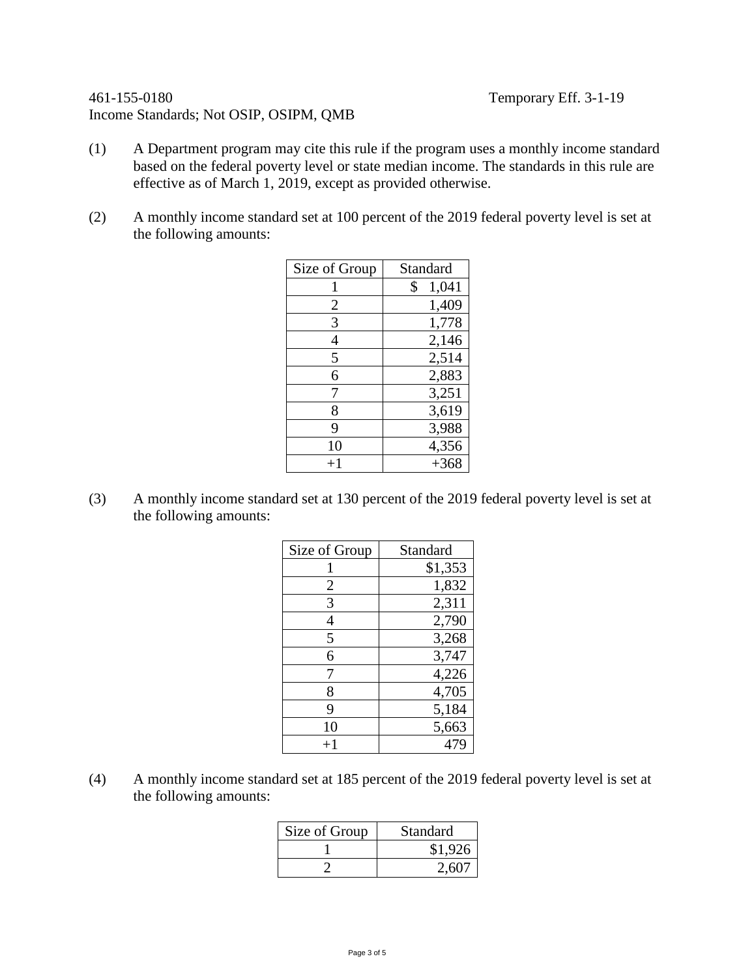# 461-155-0180 Temporary Eff. 3-1-19 Income Standards; Not OSIP, OSIPM, QMB

- (1) A Department program may cite this rule if the program uses a monthly income standard based on the federal poverty level or state median income. The standards in this rule are effective as of March 1, 2019, except as provided otherwise.
- (2) A monthly income standard set at 100 percent of the 2019 federal poverty level is set at the following amounts:

| Size of Group  | Standard    |
|----------------|-------------|
|                | \$<br>1,041 |
| $\overline{2}$ | 1,409       |
| 3              | 1,778       |
| 4              | 2,146       |
| 5              | 2,514       |
| 6              | 2,883       |
| 7              | 3,251       |
| 8              | 3,619       |
| 9              | 3,988       |
| 10             | 4,356       |
| $+1$           | $+368$      |

(3) A monthly income standard set at 130 percent of the 2019 federal poverty level is set at the following amounts:

| Size of Group | Standard |
|---------------|----------|
|               | \$1,353  |
| 2             | 1,832    |
| 3             | 2,311    |
| 4             | 2,790    |
| 5             | 3,268    |
| 6             | 3,747    |
| 7             | 4,226    |
| 8             | 4,705    |
| 9             | 5,184    |
| 10            | 5,663    |
| $+1$          | 479      |

(4) A monthly income standard set at 185 percent of the 2019 federal poverty level is set at the following amounts:

| Size of Group | Standard |
|---------------|----------|
|               | \$1,926  |
|               | 2,607    |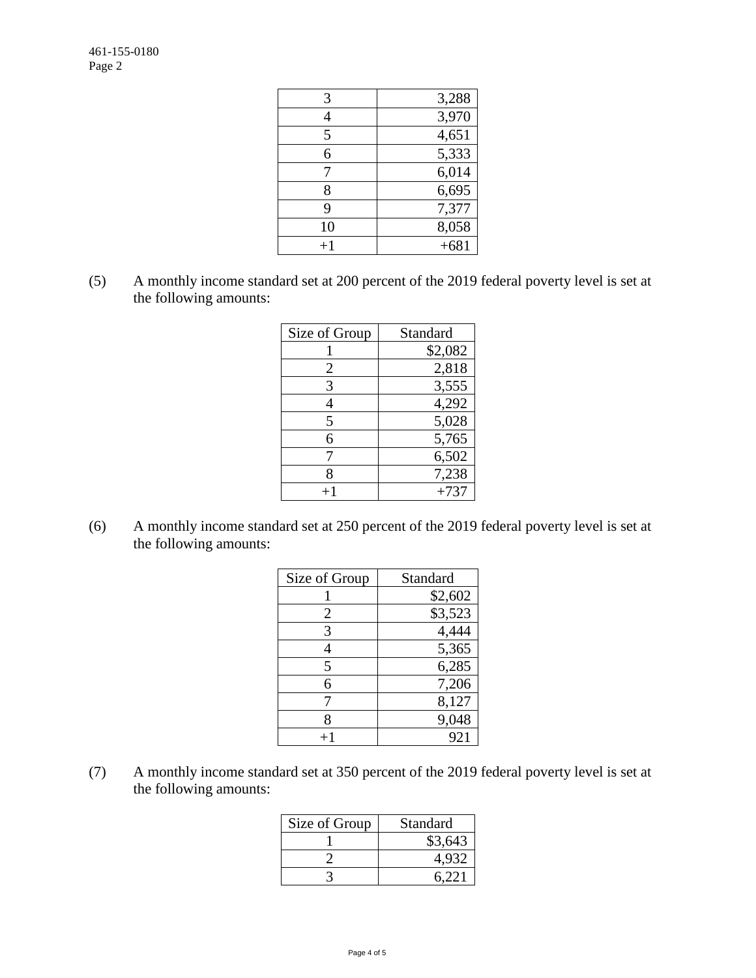| 3,288  |
|--------|
| 3,970  |
| 4,651  |
| 5,333  |
| 6,014  |
| 6,695  |
| 7,377  |
| 8,058  |
| $+681$ |
|        |

(5) A monthly income standard set at 200 percent of the 2019 federal poverty level is set at the following amounts:

| Size of Group | Standard |
|---------------|----------|
|               | \$2,082  |
| 2             | 2,818    |
| 3             | 3,555    |
| 4             | 4,292    |
| 5             | 5,028    |
| 6             | 5,765    |
|               | 6,502    |
| 8             | 7,238    |
|               | $+737$   |

(6) A monthly income standard set at 250 percent of the 2019 federal poverty level is set at the following amounts:

| Size of Group | Standard |
|---------------|----------|
|               | \$2,602  |
| 2             | \$3,523  |
| 3             | 4,444    |
| 4             | 5,365    |
| 5             | 6,285    |
| 6             | 7,206    |
| 7             | 8,127    |
| 8             | 9,048    |
|               | 921      |

(7) A monthly income standard set at 350 percent of the 2019 federal poverty level is set at the following amounts:

| Size of Group | Standard |
|---------------|----------|
|               | \$3,643  |
|               | 4.932    |
|               | 6.221    |